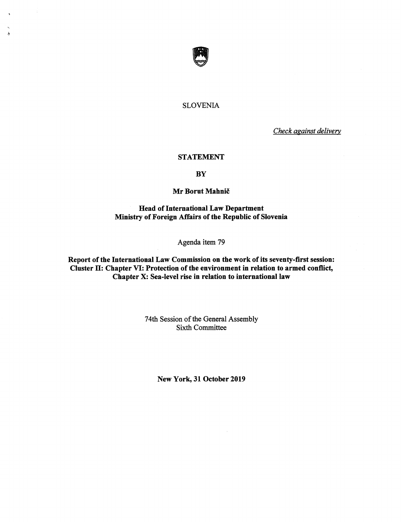

 $\ddot{\bullet}$ 

# SLOVENIA

Check against delivery

## STATEMENT

# **BY**

## Mr Borut Mahnič

Head of International Law Department Ministry of Foreign Affairs of the Republic of Slovenia

Agenda item 79

Report of the International Law Commission on the work of its seventy-first session: Cluster H: Chapter VI: Protection of the environment in relation to armed conflict, Chapter X: Sea-level rise in relation to international law

> 74th Session of the General Assembly Sixth Committee

> > New York, 31 October 2019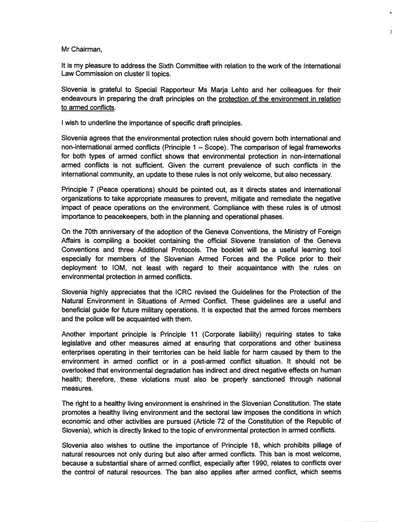Mr Chairman,

It is my pleasure to address the Sixth Committee with relation to the work of the international Law Commission on cluster II topics.

 $\mathbf{r}$ 

Slovenia is grateful to Special Rapporteur Ms Marja Lehto and her colleagues for their endeavours in preparing the draft principles on the protection of the environment in relation to armed conflicts.

i wish to underline the importance of specific draft principles.

Slovenia agrees that the environmental protection rules should govern both international and non-international armed conflicts (Principle 1 - Scope). The comparison of legal frameworks for both types of armed conflict shows that environmental protection in non-international armed conflicts is not sufficient. Given the current prevalence of such conflicts in the international community, an update to these rules is not only welcome, but also necessary.

Principle 7 (Peace operations) should be pointed out, as it directs states and international organizations to take appropriate measures to prevent, mitigate and remediate the negative impact of peace operations on the environment. Compliance with these rules is of utmost importance to peacekeepers, both in the planning and operational phases.

On the 70th anniversary of the adoption of the Geneva Conventions, the Ministry of Foreign Affairs is compiling a booklet containing the official Slovene translation of the Geneva Conventions and three Additional Protocols. The booklet will be a useful learning tool especially for members of the Slovenian Armed Forces and the Police prior to their deployment to lOM, not least with regard to their acquaintance with the rules on environmental protection in armed conflicts.

Slovenia highly appreciates that the ICRC revised the Guidelines for the Protection of the Natural Environment in Situations of Armed Conflict. These guidelines are a useful and beneficial guide for future military operations. It is expected that the armed forces members and the police will be acquainted with them.

Another important principle is Principle 11 (Corporate liability) requiring states to take legislative and other measures aimed at ensuring that corporations and other business enterprises operating in their territories can be held liable for harm caused by them to the environment in armed conflict or in a post-armed conflict situation. It should not be overlooked that environmental degradation has indirect and direct negative effects on human health; therefore, these violations must also be properly sanctioned through national measures.

The right to a healthy living environment is enshrined in the Siovenian Constitution. The state promotes a healthy living environment and the sectoral law imposes the conditions in which economic and other activities are pursued (Article 72 of the Constitution of the Republic of Slovenia), which is directly linked to the topic of environmentai protection in armed conflicts.

Slovenia also wishes to outline the importance of Principle 18, which prohibits pillage of natural resources not only during but also after armed conflicts. This ban is most welcome, because a substantial share of armed conflict, especially after 1990, relates to conflicts over the control of natural resources. The ban also applies after armed conflict, which seems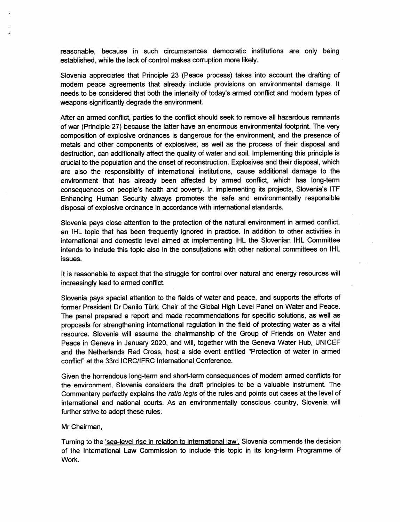reasonable, because in such circumstances democratic institutions are only being established, while the lack of control makes corruption more likely.

Slovenia appreciates that Principle 23 (Peace process) takes into account the drafting of modem peace agreements that already include provisions on environmental damage. It needs to be considered that both the intensity of today's armed conflict and modern types of weapons significantly degrade the environment.

After an armed conflict, parties to the conflict should seek to remove all hazardous remnants of war (Principle 27) because the latter have an enormous environmental footprint. The very composition of explosive ordnances is dangerous for the environment, and the presence of metals and other components of explosives, as well as the process of their disposal and destruction, can additionally affect the quality of water and soil. Implementing this principle is crucial to the population and the onset of reconstruction. Explosives and their disposal, which are also the responsibility of international institutions, cause additional damage to the environment that has already been affected by armed conflict, which has long-term consequences on people's health and poverty. In implementing its projects, Slovenia's ITF Enhancing Human Security always promotes the safe and environmentally responsible disposal of explosive ordnance in accordance with international standards.

Slovenia pays close attention to the protection of the natural environment in armed conflict, an IHL topic that has been frequently ignored in practice. In addition to other activities in international and domestic level aimed at implementing IHL the Slovenian IHL Committee intends to include this topic also in the consultations with other national committees on IHL issues.

It is reasonable to expect that the struggle for control over natural and energy resources will increasingly lead to armed conflict.

Slovenia pays special attention to the fields of water and peace, and supports the efforts of former President Dr Danilo Türk, Chair of the Global High Level Panel on Water and Peace. The panel prepared a report and made recommendations for specific solutions, as well as proposals for strengthening international regulation in the field of protecting water as a vital resource. Slovenia will assume the chairmanship of the Group of Friends on Water and Peace in Geneva in January 2020, and will, together with the Geneva Water Hub, UNICEF and the Netherlands Red Cross, host a side event entitled "Protection of water in armed conflict" at the 33rd ICRC/IFRC International Conference.

Given the horrendous long-term and short-term consequences of modem armed conflicts for the environment, Slovenia considers the draft principles to be a valuable instrument. The Commentary perfectly explains the ratio legis of the rules and points out cases at the level of international and national courts. As an environmentally conscious country, Slovenia will further strive to adopt these rules.

#### Mr Chairman,

Turning to the 'sea-level rise in relation to international law'. Slovenia commends the decision of the International Law Commission to include this topic in its long-term Programme of Work.